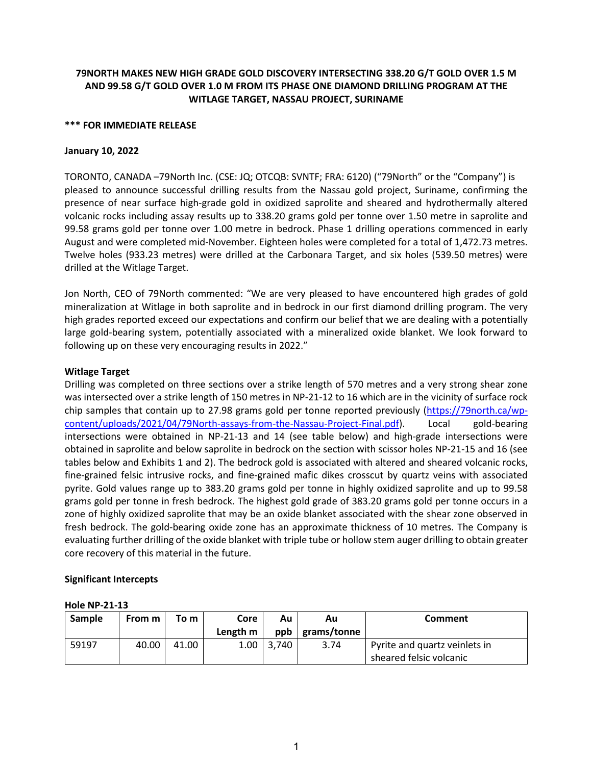# **79NORTH MAKES NEW HIGH GRADE GOLD DISCOVERY INTERSECTING 338.20 G/T GOLD OVER 1.5 M AND 99.58 G/T GOLD OVER 1.0 M FROM ITS PHASE ONE DIAMOND DRILLING PROGRAM AT THE WITLAGE TARGET, NASSAU PROJECT, SURINAME**

#### **\*\*\* FOR IMMEDIATE RELEASE**

### **January 10, 2022**

TORONTO, CANADA –79North Inc. (CSE: JQ; OTCQB: SVNTF; FRA: 6120) ("79North" or the "Company") is pleased to announce successful drilling results from the Nassau gold project, Suriname, confirming the presence of near surface high-grade gold in oxidized saprolite and sheared and hydrothermally altered volcanic rocks including assay results up to 338.20 grams gold per tonne over 1.50 metre in saprolite and 99.58 grams gold per tonne over 1.00 metre in bedrock. Phase 1 drilling operations commenced in early August and were completed mid-November. Eighteen holes were completed for a total of 1,472.73 metres. Twelve holes (933.23 metres) were drilled at the Carbonara Target, and six holes (539.50 metres) were drilled at the Witlage Target.

Jon North, CEO of 79North commented: "We are very pleased to have encountered high grades of gold mineralization at Witlage in both saprolite and in bedrock in our first diamond drilling program. The very high grades reported exceed our expectations and confirm our belief that we are dealing with a potentially large gold-bearing system, potentially associated with a mineralized oxide blanket. We look forward to following up on these very encouraging results in 2022."

### **Witlage Target**

Drilling was completed on three sections over a strike length of 570 metres and a very strong shear zone was intersected over a strike length of 150 metres in NP-21-12 to 16 which are in the vicinity of surface rock chip samples that contain up to 27.98 grams gold per tonne reported previously [\(https://79north.ca/wp](https://79north.ca/wp-content/uploads/2021/04/79North-assays-from-the-Nassau-Project-Final.pdf)[content/uploads/2021/04/79North-assays-from-the-Nassau-Project-Final.pdf\)](https://79north.ca/wp-content/uploads/2021/04/79North-assays-from-the-Nassau-Project-Final.pdf). Local gold-bearing intersections were obtained in NP-21-13 and 14 (see table below) and high-grade intersections were obtained in saprolite and below saprolite in bedrock on the section with scissor holes NP-21-15 and 16 (see tables below and Exhibits 1 and 2). The bedrock gold is associated with altered and sheared volcanic rocks, fine-grained felsic intrusive rocks, and fine-grained mafic dikes crosscut by quartz veins with associated pyrite. Gold values range up to 383.20 grams gold per tonne in highly oxidized saprolite and up to 99.58 grams gold per tonne in fresh bedrock. The highest gold grade of 383.20 grams gold per tonne occurs in a zone of highly oxidized saprolite that may be an oxide blanket associated with the shear zone observed in fresh bedrock. The gold-bearing oxide zone has an approximate thickness of 10 metres. The Company is evaluating further drilling of the oxide blanket with triple tube or hollow stem auger drilling to obtain greater core recovery of this material in the future.

## **Significant Intercepts**

#### **Hole NP-21-13**

| Sample | From m | To m  | Core     | Au    | Au          | <b>Comment</b>                |
|--------|--------|-------|----------|-------|-------------|-------------------------------|
|        |        |       | Length m | ppb   | grams/tonne |                               |
| 59197  | 40.00  | 41.00 | 1.00     | 3.740 | 3.74        | Pyrite and quartz veinlets in |
|        |        |       |          |       |             | sheared felsic volcanic       |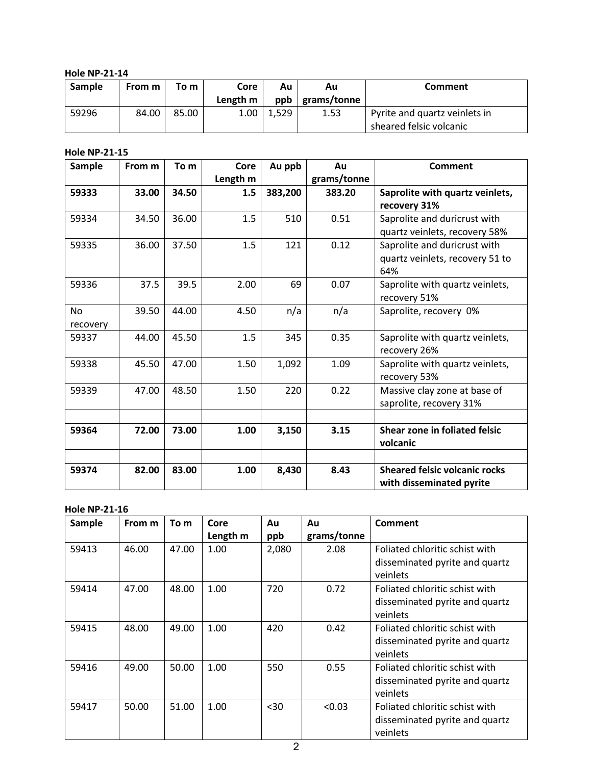**Hole NP-21-14**

| Sample | From m | To m  | Core              | Au    | Au          | Comment                       |
|--------|--------|-------|-------------------|-------|-------------|-------------------------------|
|        |        |       | Length m          | ppb   | grams/tonne |                               |
| 59296  | 84.00  | 85.00 | 1.00 <sub>1</sub> | 1.529 | 1.53        | Pyrite and quartz veinlets in |
|        |        |       |                   |       |             | sheared felsic volcanic       |

## **Hole NP-21-15**

| Sample                | From m | To m  | Core            | Au ppb  | Au                    | Comment                                                                       |
|-----------------------|--------|-------|-----------------|---------|-----------------------|-------------------------------------------------------------------------------|
| 59333                 | 33.00  | 34.50 | Length m<br>1.5 | 383,200 | grams/tonne<br>383.20 | Saprolite with quartz veinlets,                                               |
| 59334                 | 34.50  | 36.00 | 1.5             | 510     | 0.51                  | recovery 31%<br>Saprolite and duricrust with<br>quartz veinlets, recovery 58% |
| 59335                 | 36.00  | 37.50 | 1.5             | 121     | 0.12                  | Saprolite and duricrust with<br>quartz veinlets, recovery 51 to<br>64%        |
| 59336                 | 37.5   | 39.5  | 2.00            | 69      | 0.07                  | Saprolite with quartz veinlets,<br>recovery 51%                               |
| <b>No</b><br>recovery | 39.50  | 44.00 | 4.50            | n/a     | n/a                   | Saprolite, recovery 0%                                                        |
| 59337                 | 44.00  | 45.50 | 1.5             | 345     | 0.35                  | Saprolite with quartz veinlets,<br>recovery 26%                               |
| 59338                 | 45.50  | 47.00 | 1.50            | 1,092   | 1.09                  | Saprolite with quartz veinlets,<br>recovery 53%                               |
| 59339                 | 47.00  | 48.50 | 1.50            | 220     | 0.22                  | Massive clay zone at base of<br>saprolite, recovery 31%                       |
|                       |        |       |                 |         |                       |                                                                               |
| 59364                 | 72.00  | 73.00 | 1.00            | 3,150   | 3.15                  | Shear zone in foliated felsic<br>volcanic                                     |
|                       |        |       |                 |         |                       |                                                                               |
| 59374                 | 82.00  | 83.00 | 1.00            | 8,430   | 8.43                  | <b>Sheared felsic volcanic rocks</b><br>with disseminated pyrite              |

# **Hole NP-21-16**

| Sample | From m | To m  | Core     | Au    | Au          | <b>Comment</b>                 |
|--------|--------|-------|----------|-------|-------------|--------------------------------|
|        |        |       | Length m | ppb   | grams/tonne |                                |
| 59413  | 46.00  | 47.00 | 1.00     | 2,080 | 2.08        | Foliated chloritic schist with |
|        |        |       |          |       |             | disseminated pyrite and quartz |
|        |        |       |          |       |             | veinlets                       |
| 59414  | 47.00  | 48.00 | 1.00     | 720   | 0.72        | Foliated chloritic schist with |
|        |        |       |          |       |             | disseminated pyrite and quartz |
|        |        |       |          |       |             | veinlets                       |
| 59415  | 48.00  | 49.00 | 1.00     | 420   | 0.42        | Foliated chloritic schist with |
|        |        |       |          |       |             | disseminated pyrite and quartz |
|        |        |       |          |       |             | veinlets                       |
| 59416  | 49.00  | 50.00 | 1.00     | 550   | 0.55        | Foliated chloritic schist with |
|        |        |       |          |       |             | disseminated pyrite and quartz |
|        |        |       |          |       |             | veinlets                       |
| 59417  | 50.00  | 51.00 | 1.00     | $30$  | < 0.03      | Foliated chloritic schist with |
|        |        |       |          |       |             | disseminated pyrite and quartz |
|        |        |       |          |       |             | veinlets                       |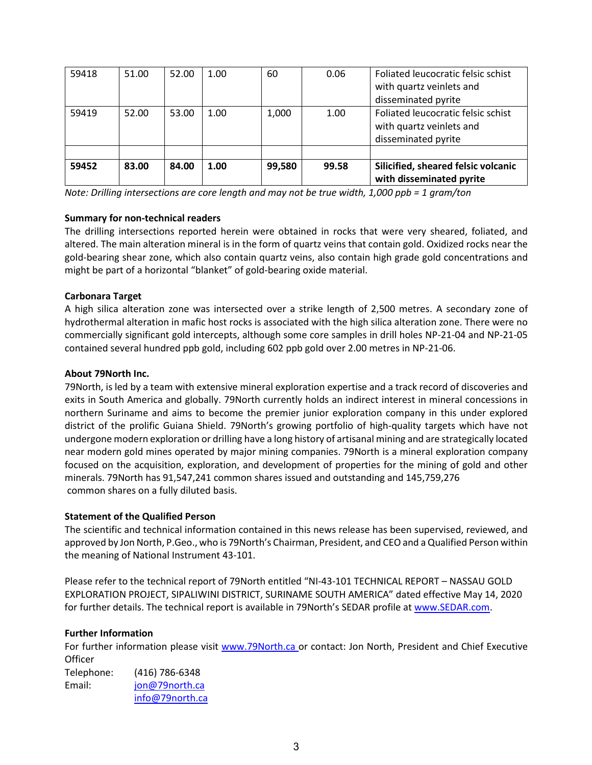| 59418 | 51.00 | 52.00 | 1.00 | 60     | 0.06  | Foliated leucocratic felsic schist<br>with quartz veinlets and<br>disseminated pyrite |
|-------|-------|-------|------|--------|-------|---------------------------------------------------------------------------------------|
| 59419 | 52.00 | 53.00 | 1.00 | 1,000  | 1.00  | Foliated leucocratic felsic schist<br>with quartz veinlets and<br>disseminated pyrite |
|       |       |       |      |        |       |                                                                                       |
| 59452 | 83.00 | 84.00 | 1.00 | 99,580 | 99.58 | Silicified, sheared felsic volcanic<br>with disseminated pyrite                       |

*Note: Drilling intersections are core length and may not be true width, 1,000 ppb = 1 gram/ton*

# **Summary for non-technical readers**

The drilling intersections reported herein were obtained in rocks that were very sheared, foliated, and altered. The main alteration mineral is in the form of quartz veins that contain gold. Oxidized rocks near the gold-bearing shear zone, which also contain quartz veins, also contain high grade gold concentrations and might be part of a horizontal "blanket" of gold-bearing oxide material.

# **Carbonara Target**

A high silica alteration zone was intersected over a strike length of 2,500 metres. A secondary zone of hydrothermal alteration in mafic host rocks is associated with the high silica alteration zone. There were no commercially significant gold intercepts, although some core samples in drill holes NP-21-04 and NP-21-05 contained several hundred ppb gold, including 602 ppb gold over 2.00 metres in NP-21-06.

# **About 79North Inc.**

79North, is led by a team with extensive mineral exploration expertise and a track record of discoveries and exits in South America and globally. 79North currently holds an indirect interest in mineral concessions in northern Suriname and aims to become the premier junior exploration company in this under explored district of the prolific Guiana Shield. 79North's growing portfolio of high-quality targets which have not undergone modern exploration or drilling have a long history of artisanal mining and are strategically located near modern gold mines operated by major mining companies. 79North is a mineral exploration company focused on the acquisition, exploration, and development of properties for the mining of gold and other minerals. 79North has 91,547,241 common shares issued and outstanding and 145,759,276 common shares on a fully diluted basis.

## **Statement of the Qualified Person**

The scientific and technical information contained in this news release has been supervised, reviewed, and approved by Jon North, P.Geo., who is 79North's Chairman, President, and CEO and a Qualified Person within the meaning of National Instrument 43-101.

Please refer to the technical report of 79North entitled "NI-43-101 TECHNICAL REPORT – NASSAU GOLD EXPLORATION PROJECT, SIPALIWINI DISTRICT, SURINAME SOUTH AMERICA" dated effective May 14, 2020 for further details. The technical report is available in 79North's SEDAR profile a[t www.SEDAR.com.](http://www.sedar.com/)

## **Further Information**

For further information please visit [www.79North.ca o](http://www.79north.ca/)r contact: Jon North, President and Chief Executive **Officer** Telephone: (416) 786-6348 Email: [jon@79north.ca](mailto:jon@79north.ca) [info@79north.ca](mailto:info@79north.ca)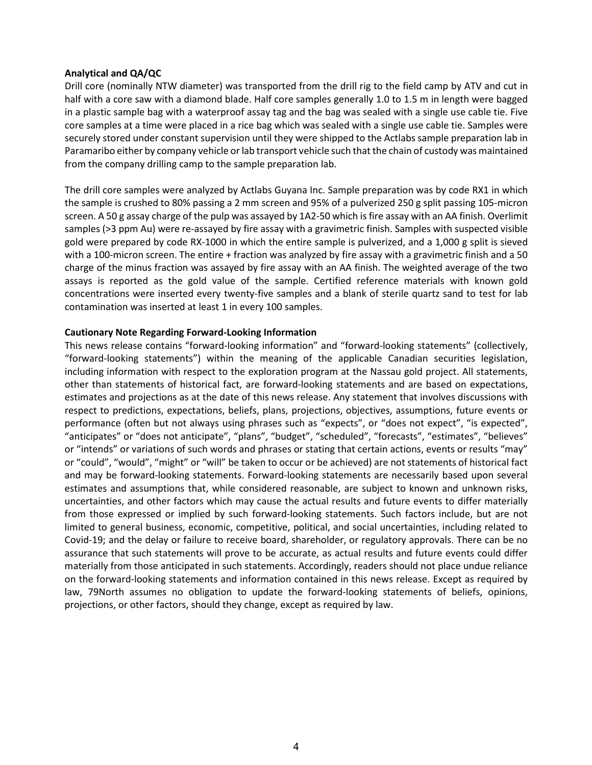#### **Analytical and QA/QC**

Drill core (nominally NTW diameter) was transported from the drill rig to the field camp by ATV and cut in half with a core saw with a diamond blade. Half core samples generally 1.0 to 1.5 m in length were bagged in a plastic sample bag with a waterproof assay tag and the bag was sealed with a single use cable tie. Five core samples at a time were placed in a rice bag which was sealed with a single use cable tie. Samples were securely stored under constant supervision until they were shipped to the Actlabs sample preparation lab in Paramaribo either by company vehicle or lab transport vehicle such that the chain of custody was maintained from the company drilling camp to the sample preparation lab.

The drill core samples were analyzed by Actlabs Guyana Inc. Sample preparation was by code RX1 in which the sample is crushed to 80% passing a 2 mm screen and 95% of a pulverized 250 g split passing 105-micron screen. A 50 g assay charge of the pulp was assayed by 1A2-50 which is fire assay with an AA finish. Overlimit samples (>3 ppm Au) were re-assayed by fire assay with a gravimetric finish. Samples with suspected visible gold were prepared by code RX-1000 in which the entire sample is pulverized, and a 1,000 g split is sieved with a 100-micron screen. The entire + fraction was analyzed by fire assay with a gravimetric finish and a 50 charge of the minus fraction was assayed by fire assay with an AA finish. The weighted average of the two assays is reported as the gold value of the sample. Certified reference materials with known gold concentrations were inserted every twenty-five samples and a blank of sterile quartz sand to test for lab contamination was inserted at least 1 in every 100 samples.

### **Cautionary Note Regarding Forward-Looking Information**

This news release contains "forward-looking information" and "forward-looking statements" (collectively, "forward-looking statements") within the meaning of the applicable Canadian securities legislation, including information with respect to the exploration program at the Nassau gold project. All statements, other than statements of historical fact, are forward-looking statements and are based on expectations, estimates and projections as at the date of this news release. Any statement that involves discussions with respect to predictions, expectations, beliefs, plans, projections, objectives, assumptions, future events or performance (often but not always using phrases such as "expects", or "does not expect", "is expected", "anticipates" or "does not anticipate", "plans", "budget", "scheduled", "forecasts", "estimates", "believes" or "intends" or variations of such words and phrases or stating that certain actions, events or results "may" or "could", "would", "might" or "will" be taken to occur or be achieved) are not statements of historical fact and may be forward-looking statements. Forward-looking statements are necessarily based upon several estimates and assumptions that, while considered reasonable, are subject to known and unknown risks, uncertainties, and other factors which may cause the actual results and future events to differ materially from those expressed or implied by such forward-looking statements. Such factors include, but are not limited to general business, economic, competitive, political, and social uncertainties, including related to Covid-19; and the delay or failure to receive board, shareholder, or regulatory approvals. There can be no assurance that such statements will prove to be accurate, as actual results and future events could differ materially from those anticipated in such statements. Accordingly, readers should not place undue reliance on the forward-looking statements and information contained in this news release. Except as required by law, 79North assumes no obligation to update the forward-looking statements of beliefs, opinions, projections, or other factors, should they change, except as required by law.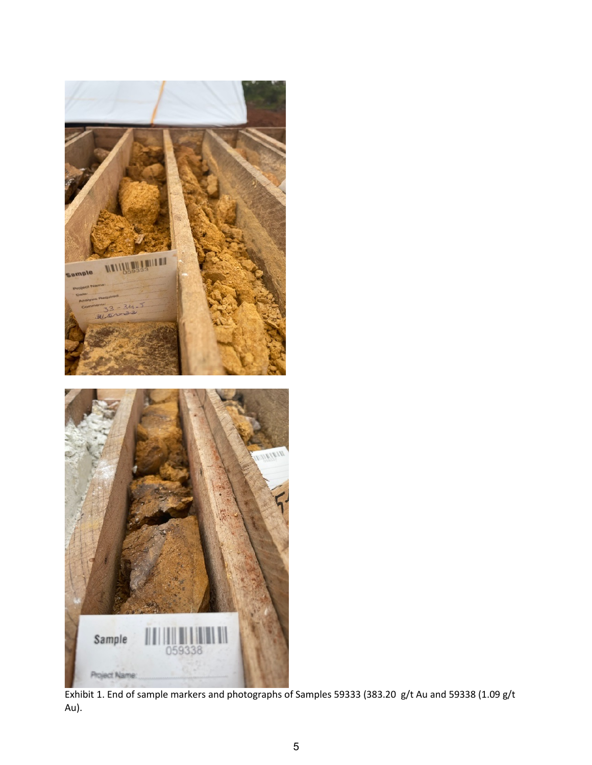

Exhibit 1. End of sample markers and photographs of Samples 59333 (383.20 g/t Au and 59338 (1.09 g/t Au).